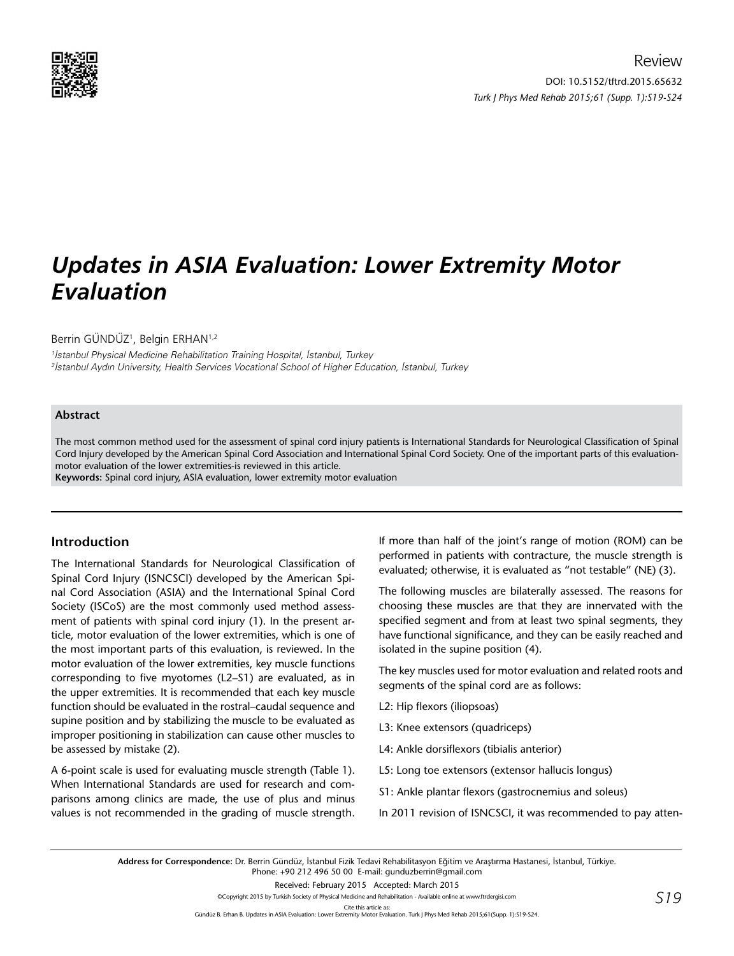

# *Updates in ASIA Evaluation: Lower Extremity Motor Evaluation*

Berrin GÜNDÜZ<sup>1</sup>, Belgin ERHAN<sup>1,2</sup>

1 İstanbul Physical Medicine Rehabilitation Training Hospital, İstanbul, Turkey 2 İstanbul Aydın University, Health Services Vocational School of Higher Education, İstanbul, Turkey

### **Abstract**

The most common method used for the assessment of spinal cord injury patients is International Standards for Neurological Classification of Spinal Cord Injury developed by the American Spinal Cord Association and International Spinal Cord Society. One of the important parts of this evaluationmotor evaluation of the lower extremities-is reviewed in this article.

**Keywords:** Spinal cord injury, ASIA evaluation, lower extremity motor evaluation

## **Introduction**

The International Standards for Neurological Classification of Spinal Cord Injury (ISNCSCI) developed by the American Spinal Cord Association (ASIA) and the International Spinal Cord Society (ISCoS) are the most commonly used method assessment of patients with spinal cord injury (1). In the present article, motor evaluation of the lower extremities, which is one of the most important parts of this evaluation, is reviewed. In the motor evaluation of the lower extremities, key muscle functions corresponding to five myotomes (L2–S1) are evaluated, as in the upper extremities. It is recommended that each key muscle function should be evaluated in the rostral–caudal sequence and supine position and by stabilizing the muscle to be evaluated as improper positioning in stabilization can cause other muscles to be assessed by mistake (2).

A 6-point scale is used for evaluating muscle strength (Table 1). When International Standards are used for research and comparisons among clinics are made, the use of plus and minus values is not recommended in the grading of muscle strength.

If more than half of the joint's range of motion (ROM) can be performed in patients with contracture, the muscle strength is evaluated; otherwise, it is evaluated as "not testable" (NE) (3).

The following muscles are bilaterally assessed. The reasons for choosing these muscles are that they are innervated with the specified segment and from at least two spinal segments, they have functional significance, and they can be easily reached and isolated in the supine position (4).

The key muscles used for motor evaluation and related roots and segments of the spinal cord are as follows:

- L2: Hip flexors (iliopsoas)
- L3: Knee extensors (quadriceps)
- L4: Ankle dorsiflexors (tibialis anterior)
- L5: Long toe extensors (extensor hallucis longus)
- S1: Ankle plantar flexors (gastrocnemius and soleus)
- In 2011 revision of ISNCSCI, it was recommended to pay atten-

**Address for Correspondence:** Dr. Berrin Gündüz, İstanbul Fizik Tedavi Rehabilitasyon Eğitim ve Araştırma Hastanesi, İstanbul, Türkiye. Phone: +90 212 496 50 00 E-mail: gunduzberrin@gmail.com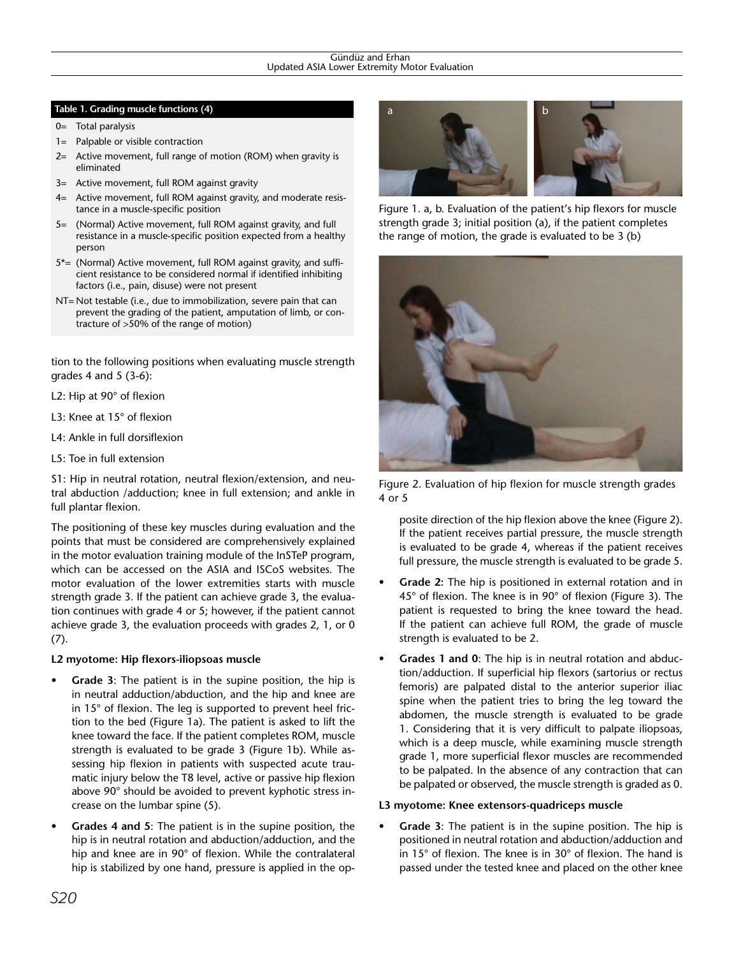#### Gündüz and Erhan Updated ASIA Lower Extremity Motor Evaluation

#### **Table 1. Grading muscle functions (4)**

- 0= Total paralysis
- 1= Palpable or visible contraction
- 2= Active movement, full range of motion (ROM) when gravity is eliminated
- 3= Active movement, full ROM against gravity
- 4= Active movement, full ROM against gravity, and moderate resistance in a muscle-specific position
- 5= (Normal) Active movement, full ROM against gravity, and full resistance in a muscle-specific position expected from a healthy person
- 5\*= (Normal) Active movement, full ROM against gravity, and sufficient resistance to be considered normal if identified inhibiting factors (i.e., pain, disuse) were not present
- NT= Not testable (i.e., due to immobilization, severe pain that can prevent the grading of the patient, amputation of limb, or contracture of >50% of the range of motion)

tion to the following positions when evaluating muscle strength grades 4 and 5 (3-6):

- L2: Hip at 90° of flexion
- L3: Knee at 15° of flexion
- L4: Ankle in full dorsiflexion
- L5: Toe in full extension

S1: Hip in neutral rotation, neutral flexion/extension, and neutral abduction /adduction; knee in full extension; and ankle in full plantar flexion.

The positioning of these key muscles during evaluation and the points that must be considered are comprehensively explained in the motor evaluation training module of the InSTeP program, which can be accessed on the ASIA and ISCoS websites. The motor evaluation of the lower extremities starts with muscle strength grade 3. If the patient can achieve grade 3, the evaluation continues with grade 4 or 5; however, if the patient cannot achieve grade 3, the evaluation proceeds with grades 2, 1, or 0 (7).

#### **L2 myotome: Hip flexors-iliopsoas muscle**

- **Grade 3:** The patient is in the supine position, the hip is in neutral adduction/abduction, and the hip and knee are in 15° of flexion. The leg is supported to prevent heel friction to the bed (Figure 1a). The patient is asked to lift the knee toward the face. If the patient completes ROM, muscle strength is evaluated to be grade 3 (Figure 1b). While assessing hip flexion in patients with suspected acute traumatic injury below the T8 level, active or passive hip flexion above 90° should be avoided to prevent kyphotic stress increase on the lumbar spine (5).
- **Grades 4 and 5**: The patient is in the supine position, the hip is in neutral rotation and abduction/adduction, and the hip and knee are in 90° of flexion. While the contralateral hip is stabilized by one hand, pressure is applied in the op-



Figure 1. a, b. Evaluation of the patient's hip flexors for muscle strength grade 3; initial position (a), if the patient completes the range of motion, the grade is evaluated to be 3 (b)



Figure 2. Evaluation of hip flexion for muscle strength grades 4 or 5

posite direction of the hip flexion above the knee (Figure 2). If the patient receives partial pressure, the muscle strength is evaluated to be grade 4, whereas if the patient receives full pressure, the muscle strength is evaluated to be grade 5.

- **Grade 2:** The hip is positioned in external rotation and in 45° of flexion. The knee is in 90° of flexion (Figure 3). The patient is requested to bring the knee toward the head. If the patient can achieve full ROM, the grade of muscle strength is evaluated to be 2.
- **Grades 1 and 0**: The hip is in neutral rotation and abduction/adduction. If superficial hip flexors (sartorius or rectus femoris) are palpated distal to the anterior superior iliac spine when the patient tries to bring the leg toward the abdomen, the muscle strength is evaluated to be grade 1. Considering that it is very difficult to palpate iliopsoas, which is a deep muscle, while examining muscle strength grade 1, more superficial flexor muscles are recommended to be palpated. In the absence of any contraction that can be palpated or observed, the muscle strength is graded as 0.

#### **L3 myotome: Knee extensors-quadriceps muscle**

• **Grade 3**: The patient is in the supine position. The hip is positioned in neutral rotation and abduction/adduction and in 15° of flexion. The knee is in 30° of flexion. The hand is passed under the tested knee and placed on the other knee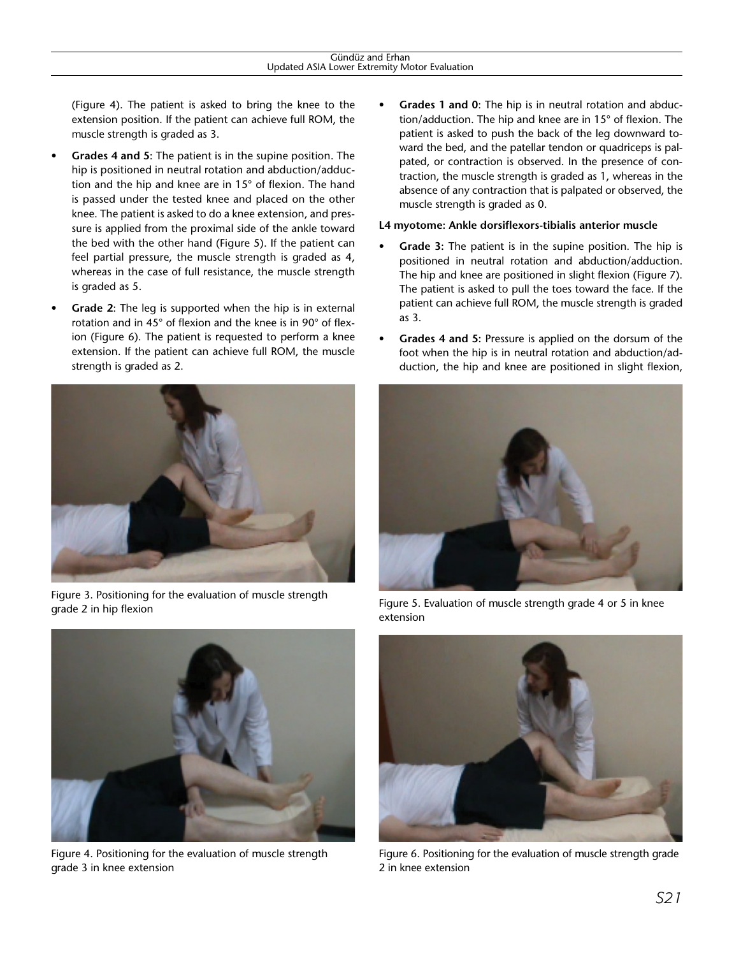(Figure 4). The patient is asked to bring the knee to the extension position. If the patient can achieve full ROM, the muscle strength is graded as 3.

- **Grades 4 and 5**: The patient is in the supine position. The hip is positioned in neutral rotation and abduction/adduction and the hip and knee are in 15° of flexion. The hand is passed under the tested knee and placed on the other knee. The patient is asked to do a knee extension, and pressure is applied from the proximal side of the ankle toward the bed with the other hand (Figure 5). If the patient can feel partial pressure, the muscle strength is graded as 4, whereas in the case of full resistance, the muscle strength is graded as 5.
- **Grade 2**: The leg is supported when the hip is in external rotation and in 45° of flexion and the knee is in 90° of flexion (Figure 6). The patient is requested to perform a knee extension. If the patient can achieve full ROM, the muscle strength is graded as 2.



Figure 3. Positioning for the evaluation of muscle strength grade 2 in hip flexion



Figure 4. Positioning for the evaluation of muscle strength grade 3 in knee extension

• **Grades 1 and 0**: The hip is in neutral rotation and abduction/adduction. The hip and knee are in 15° of flexion. The patient is asked to push the back of the leg downward toward the bed, and the patellar tendon or quadriceps is palpated, or contraction is observed. In the presence of contraction, the muscle strength is graded as 1, whereas in the absence of any contraction that is palpated or observed, the muscle strength is graded as 0.

### **L4 myotome: Ankle dorsiflexors-tibialis anterior muscle**

- Grade 3: The patient is in the supine position. The hip is positioned in neutral rotation and abduction/adduction. The hip and knee are positioned in slight flexion (Figure 7). The patient is asked to pull the toes toward the face. If the patient can achieve full ROM, the muscle strength is graded as 3.
- **Grades 4 and 5:** Pressure is applied on the dorsum of the foot when the hip is in neutral rotation and abduction/adduction, the hip and knee are positioned in slight flexion,



Figure 5. Evaluation of muscle strength grade 4 or 5 in knee extension



Figure 6. Positioning for the evaluation of muscle strength grade 2 in knee extension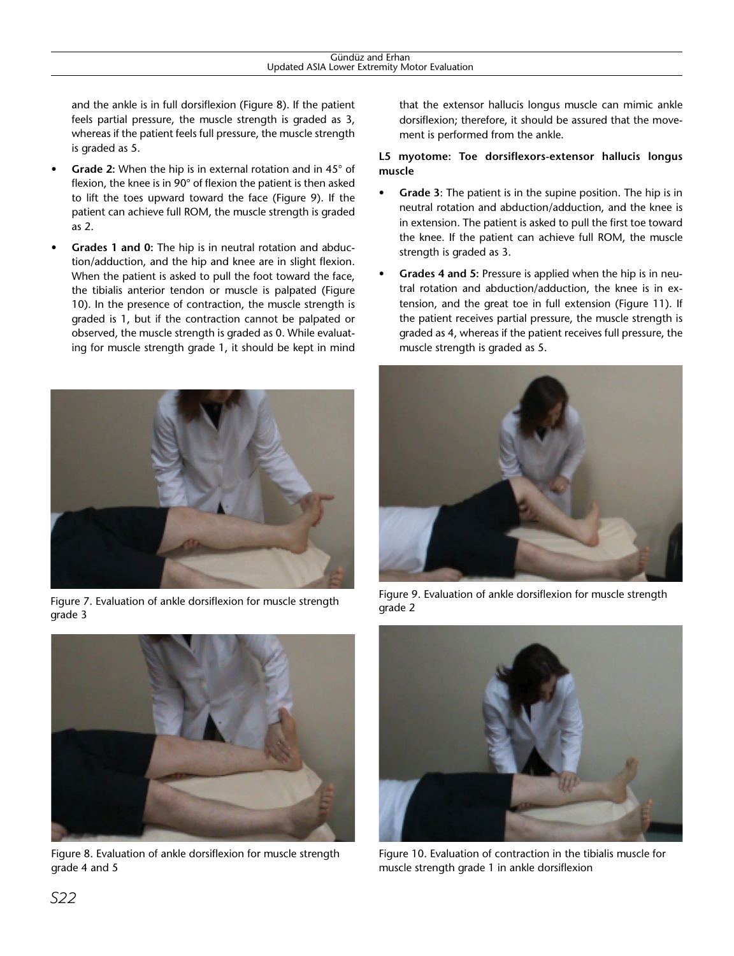and the ankle is in full dorsiflexion (Figure 8). If the patient feels partial pressure, the muscle strength is graded as 3, whereas if the patient feels full pressure, the muscle strength is graded as 5.

- **Grade 2:** When the hip is in external rotation and in 45° of flexion, the knee is in 90° of flexion the patient is then asked to lift the toes upward toward the face (Figure 9). If the patient can achieve full ROM, the muscle strength is graded as 2.
- **Grades 1 and 0:** The hip is in neutral rotation and abduction/adduction, and the hip and knee are in slight flexion. When the patient is asked to pull the foot toward the face, the tibialis anterior tendon or muscle is palpated (Figure 10). In the presence of contraction, the muscle strength is graded is 1, but if the contraction cannot be palpated or observed, the muscle strength is graded as 0. While evaluating for muscle strength grade 1, it should be kept in mind



Figure 7. Evaluation of ankle dorsiflexion for muscle strength grade 3



Figure 8. Evaluation of ankle dorsiflexion for muscle strength grade 4 and 5

that the extensor hallucis longus muscle can mimic ankle dorsiflexion; therefore, it should be assured that the movement is performed from the ankle.

## **L5 myotome: Toe dorsiflexors-extensor hallucis longus muscle**

- **Grade 3**: The patient is in the supine position. The hip is in neutral rotation and abduction/adduction, and the knee is in extension. The patient is asked to pull the first toe toward the knee. If the patient can achieve full ROM, the muscle strength is graded as 3.
- **Grades 4 and 5:** Pressure is applied when the hip is in neutral rotation and abduction/adduction, the knee is in extension, and the great toe in full extension (Figure 11). If the patient receives partial pressure, the muscle strength is graded as 4, whereas if the patient receives full pressure, the muscle strength is graded as 5.



Figure 9. Evaluation of ankle dorsiflexion for muscle strength grade 2



Figure 10. Evaluation of contraction in the tibialis muscle for muscle strength grade 1 in ankle dorsiflexion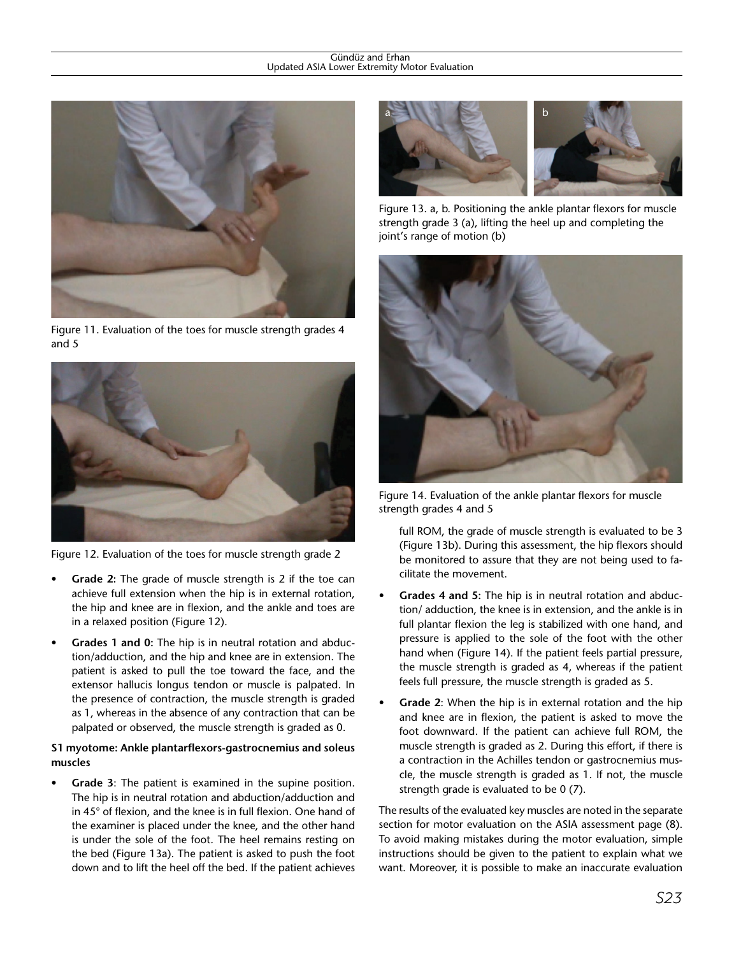

Figure 11. Evaluation of the toes for muscle strength grades 4 and 5



Figure 12. Evaluation of the toes for muscle strength grade 2

- **Grade 2:** The grade of muscle strength is 2 if the toe can achieve full extension when the hip is in external rotation, the hip and knee are in flexion, and the ankle and toes are in a relaxed position (Figure 12).
- **Grades 1 and 0:** The hip is in neutral rotation and abduction/adduction, and the hip and knee are in extension. The patient is asked to pull the toe toward the face, and the extensor hallucis longus tendon or muscle is palpated. In the presence of contraction, the muscle strength is graded as 1, whereas in the absence of any contraction that can be palpated or observed, the muscle strength is graded as 0.

## **S1 myotome: Ankle plantarflexors-gastrocnemius and soleus muscles**

**Grade 3:** The patient is examined in the supine position. The hip is in neutral rotation and abduction/adduction and in 45° of flexion, and the knee is in full flexion. One hand of the examiner is placed under the knee, and the other hand is under the sole of the foot. The heel remains resting on the bed (Figure 13a). The patient is asked to push the foot down and to lift the heel off the bed. If the patient achieves



Figure 13. a, b. Positioning the ankle plantar flexors for muscle strength grade 3 (a), lifting the heel up and completing the joint's range of motion (b)



Figure 14. Evaluation of the ankle plantar flexors for muscle strength grades 4 and 5

full ROM, the grade of muscle strength is evaluated to be 3 (Figure 13b). During this assessment, the hip flexors should be monitored to assure that they are not being used to facilitate the movement.

- **Grades 4 and 5:** The hip is in neutral rotation and abduction/ adduction, the knee is in extension, and the ankle is in full plantar flexion the leg is stabilized with one hand, and pressure is applied to the sole of the foot with the other hand when (Figure 14). If the patient feels partial pressure, the muscle strength is graded as 4, whereas if the patient feels full pressure, the muscle strength is graded as 5.
- **Grade 2**: When the hip is in external rotation and the hip and knee are in flexion, the patient is asked to move the foot downward. If the patient can achieve full ROM, the muscle strength is graded as 2. During this effort, if there is a contraction in the Achilles tendon or gastrocnemius muscle, the muscle strength is graded as 1. If not, the muscle strength grade is evaluated to be 0 (7).

The results of the evaluated key muscles are noted in the separate section for motor evaluation on the ASIA assessment page (8). To avoid making mistakes during the motor evaluation, simple instructions should be given to the patient to explain what we want. Moreover, it is possible to make an inaccurate evaluation